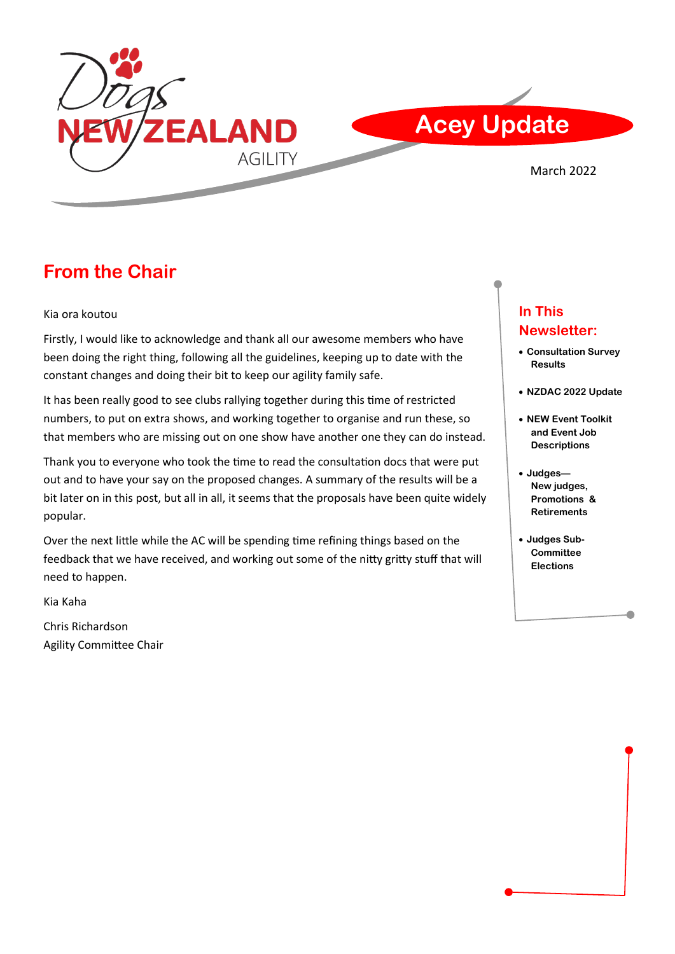





## **From the Chair**

#### Kia ora koutou

Firstly, I would like to acknowledge and thank all our awesome members who have been doing the right thing, following all the guidelines, keeping up to date with the constant changes and doing their bit to keep our agility family safe.

It has been really good to see clubs rallying together during this time of restricted numbers, to put on extra shows, and working together to organise and run these, so that members who are missing out on one show have another one they can do instead.

Thank you to everyone who took the time to read the consultation docs that were put out and to have your say on the proposed changes. A summary of the results will be a bit later on in this post, but all in all, it seems that the proposals have been quite widely popular.

Over the next little while the AC will be spending time refining things based on the feedback that we have received, and working out some of the nitty gritty stuff that will need to happen.

Kia Kaha

Chris Richardson Agility Committee Chair

### **In This Newsletter:**

- **Consultation Survey Results**
- **NZDAC 2022 Update**
- **NEW Event Toolkit and Event Job Descriptions**
- **Judges— New judges, Promotions & Retirements**
- **Judges Sub-Committee Elections**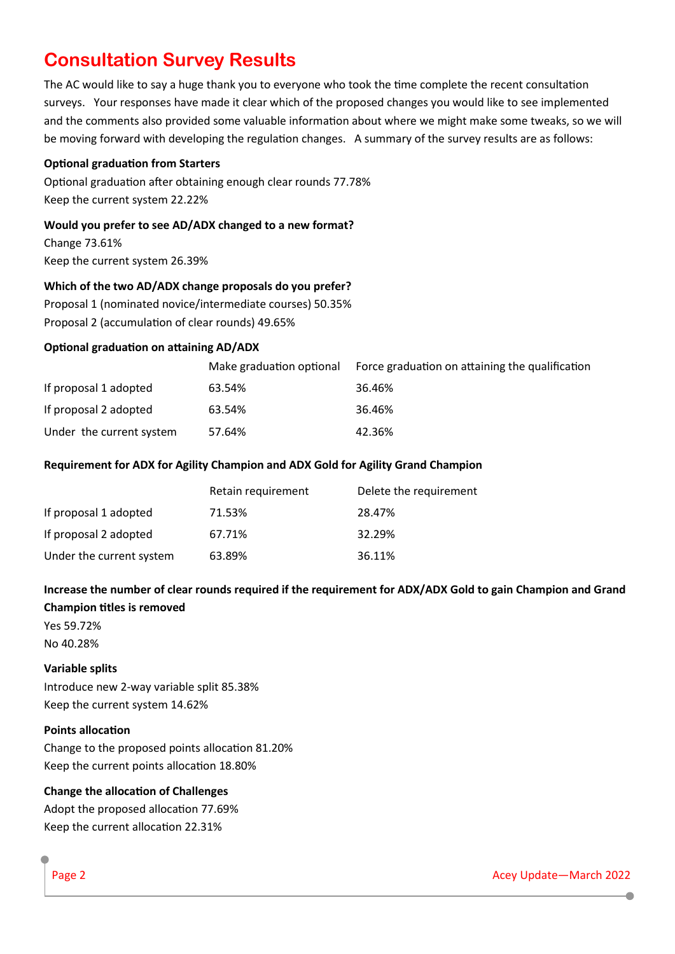# **Consultation Survey Results**

The AC would like to say a huge thank you to everyone who took the time complete the recent consultation surveys. Your responses have made it clear which of the proposed changes you would like to see implemented and the comments also provided some valuable information about where we might make some tweaks, so we will be moving forward with developing the regulation changes. A summary of the survey results are as follows:

#### **Optional graduation from Starters**

Optional graduation after obtaining enough clear rounds 77.78% Keep the current system 22.22%

#### **Would you prefer to see AD/ADX changed to a new format?**

Change 73.61% Keep the current system 26.39%

#### **Which of the two AD/ADX change proposals do you prefer?**

Proposal 1 (nominated novice/intermediate courses) 50.35% Proposal 2 (accumulation of clear rounds) 49.65%

#### **Optional graduation on attaining AD/ADX**

|                          | Make graduation optional | Force graduation on attaining the qualification |
|--------------------------|--------------------------|-------------------------------------------------|
| If proposal 1 adopted    | 63.54%                   | 36.46%                                          |
| If proposal 2 adopted    | 63.54%                   | 36.46%                                          |
| Under the current system | 57.64%                   | 42.36%                                          |

#### **Requirement for ADX for Agility Champion and ADX Gold for Agility Grand Champion**

|                          | Retain requirement | Delete the requirement |
|--------------------------|--------------------|------------------------|
| If proposal 1 adopted    | 71.53%             | 28.47%                 |
| If proposal 2 adopted    | 67.71%             | 32.29%                 |
| Under the current system | 63.89%             | 36.11%                 |

#### **Increase the number of clear rounds required if the requirement for ADX/ADX Gold to gain Champion and Grand Champion titles is removed**

Yes 59.72% No 40.28%

#### **Variable splits**

Introduce new 2-way variable split 85.38% Keep the current system 14.62%

#### **Points allocation**

Change to the proposed points allocation 81.20% Keep the current points allocation 18.80%

#### **Change the allocation of Challenges**

Adopt the proposed allocation 77.69% Keep the current allocation 22.31%

 $\bullet$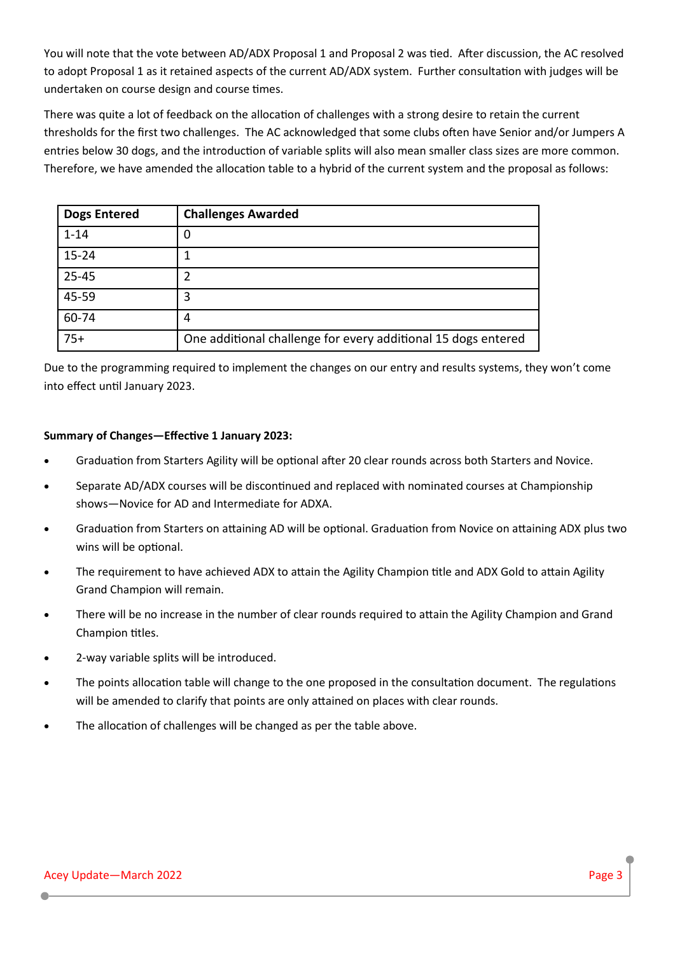You will note that the vote between AD/ADX Proposal 1 and Proposal 2 was tied. After discussion, the AC resolved to adopt Proposal 1 as it retained aspects of the current AD/ADX system. Further consultation with judges will be undertaken on course design and course times.

There was quite a lot of feedback on the allocation of challenges with a strong desire to retain the current thresholds for the first two challenges. The AC acknowledged that some clubs often have Senior and/or Jumpers A entries below 30 dogs, and the introduction of variable splits will also mean smaller class sizes are more common. Therefore, we have amended the allocation table to a hybrid of the current system and the proposal as follows:

| <b>Dogs Entered</b> | <b>Challenges Awarded</b>                                     |
|---------------------|---------------------------------------------------------------|
| $1 - 14$            | 0                                                             |
| $15 - 24$           |                                                               |
| 25-45               | 7                                                             |
| 45-59               | 3                                                             |
| 60-74               | 4                                                             |
| $75+$               | One additional challenge for every additional 15 dogs entered |

Due to the programming required to implement the changes on our entry and results systems, they won't come into effect until January 2023.

#### **Summary of Changes—Effective 1 January 2023:**

- Graduation from Starters Agility will be optional after 20 clear rounds across both Starters and Novice.
- Separate AD/ADX courses will be discontinued and replaced with nominated courses at Championship shows—Novice for AD and Intermediate for ADXA.
- Graduation from Starters on attaining AD will be optional. Graduation from Novice on attaining ADX plus two wins will be optional.
- The requirement to have achieved ADX to attain the Agility Champion title and ADX Gold to attain Agility Grand Champion will remain.
- There will be no increase in the number of clear rounds required to attain the Agility Champion and Grand Champion titles.
- 2-way variable splits will be introduced.
- The points allocation table will change to the one proposed in the consultation document. The regulations will be amended to clarify that points are only attained on places with clear rounds.
- The allocation of challenges will be changed as per the table above.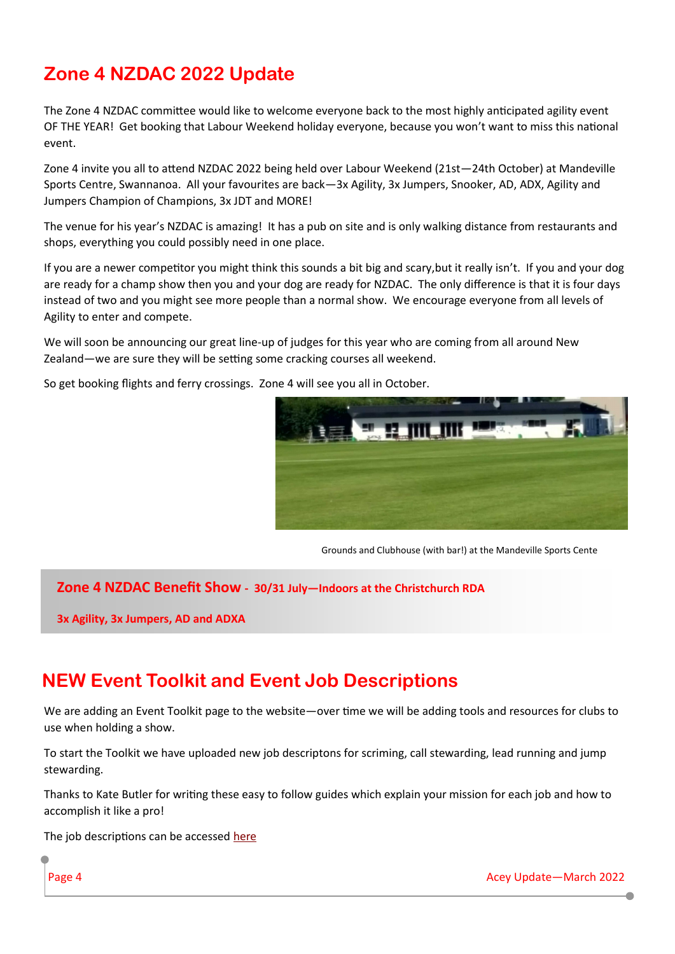# **Zone 4 NZDAC 2022 Update**

The Zone 4 NZDAC committee would like to welcome everyone back to the most highly anticipated agility event OF THE YEAR! Get booking that Labour Weekend holiday everyone, because you won't want to miss this national event.

Zone 4 invite you all to attend NZDAC 2022 being held over Labour Weekend (21st—24th October) at Mandeville Sports Centre, Swannanoa. All your favourites are back—3x Agility, 3x Jumpers, Snooker, AD, ADX, Agility and Jumpers Champion of Champions, 3x JDT and MORE!

The venue for his year's NZDAC is amazing! It has a pub on site and is only walking distance from restaurants and shops, everything you could possibly need in one place.

If you are a newer competitor you might think this sounds a bit big and scary,but it really isn't. If you and your dog are ready for a champ show then you and your dog are ready for NZDAC. The only difference is that it is four days instead of two and you might see more people than a normal show. We encourage everyone from all levels of Agility to enter and compete.

We will soon be announcing our great line-up of judges for this year who are coming from all around New Zealand—we are sure they will be setting some cracking courses all weekend.

So get booking flights and ferry crossings. Zone 4 will see you all in October.



Grounds and Clubhouse (with bar!) at the Mandeville Sports Cente

**Zone 4 NZDAC Benefit Show - 30/31 July—Indoors at the Christchurch RDA**

**3x Agility, 3x Jumpers, AD and ADXA**

## **NEW Event Toolkit and Event Job Descriptions**

We are adding an Event Toolkit page to the website—over time we will be adding tools and resources for clubs to use when holding a show.

To start the Toolkit we have uploaded new job descriptons for scriming, call stewarding, lead running and jump stewarding.

Thanks to Kate Butler for writing these easy to follow guides which explain your mission for each job and how to accomplish it like a pro!

The job descriptions can be accessed [here](http://www.dogagility.org.nz/cont/event-toolkit.html)